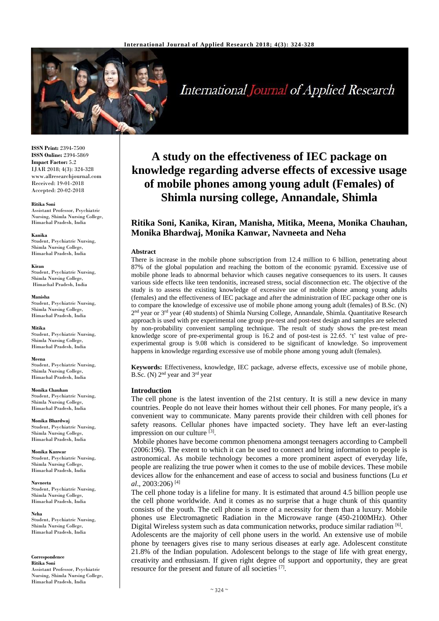

**International Journal of Applied Research** 

**ISSN Print:** 2394-7500 **ISSN Online:** 2394-5869 **Impact Factor:** 5.2 IJAR 2018; 4(3): 324-328 www.allresearchjournal.com Received: 19-01-2018 Accepted: 20-02-2018

#### **Ritika Soni**

Assistant Professor, Psychiatric Nursing, Shimla Nursing College, Himachal Pradesh, India

**Kanika** 

Student, Psychiatric Nursing, Shimla Nursing College, Himachal Pradesh, India

**Kiran**

Student, Psychiatric Nursing, Shimla Nursing College, Himachal Pradesh, India

**Manisha**

Student, Psychiatric Nursing, Shimla Nursing College, Himachal Pradesh, India

**Mitika**

Student, Psychiatric Nursing, Shimla Nursing College, Himachal Pradesh, India

**Meena**

Student, Psychiatric Nursing, Shimla Nursing College, Himachal Pradesh, India

**Monika Chauhan** Student, Psychiatric Nursing, Shimla Nursing College, Himachal Pradesh, India

**Monika Bhardwaj** Student, Psychiatric Nursing, Shimla Nursing College, Himachal Pradesh, India

**Monika Kanwar** Student, Psychiatric Nursing, Shimla Nursing College, Himachal Pradesh, India

**Navneeta** Student, Psychiatric Nursing, Shimla Nursing College, Himachal Pradesh, India

**Neha** Student, Psychiatric Nursing, Shimla Nursing College, Himachal Pradesh, India

**Correspondence**

**Ritika Soni** Assistant Professor, Psychiatric Nursing, Shimla Nursing College, Himachal Pradesh, India

# **A study on the effectiveness of IEC package on knowledge regarding adverse effects of excessive usage of mobile phones among young adult (Females) of Shimla nursing college, Annandale, Shimla**

# **Ritika Soni, Kanika, Kiran, Manisha, Mitika, Meena, Monika Chauhan, Monika Bhardwaj, Monika Kanwar, Navneeta and Neha**

#### **Abstract**

There is increase in the mobile phone subscription from 12.4 million to 6 billion, penetrating about 87% of the global population and reaching the bottom of the economic pyramid. Excessive use of mobile phone leads to abnormal behavior which causes negative consequences to its users. It causes various side effects like teen tendonitis, increased stress, social disconnection etc. The objective of the study is to assess the existing knowledge of excessive use of mobile phone among young adults (females) and the effectiveness of IEC package and after the administration of IEC package other one is to compare the knowledge of excessive use of mobile phone among young adult (females) of B.Sc. (N) 2<sup>nd</sup> year or 3<sup>rd</sup> year (40 students) of Shimla Nursing College, Annandale, Shimla. Quantitative Research approach is used with pre experimental one group pre-test and post-test design and samples are selected by non-probability convenient sampling technique. The result of study shows the pre-test mean knowledge score of pre-experimental group is 16.2 and of post-test is 22.65. 't' test value of preexperimental group is 9.08 which is considered to be significant of knowledge. So improvement happens in knowledge regarding excessive use of mobile phone among young adult (females).

**Keywords:** Effectiveness, knowledge, IEC package, adverse effects, excessive use of mobile phone, B.Sc. (N) 2nd year and 3rd year

#### **Introduction**

The cell phone is the latest invention of the 21st century. It is still a new device in many countries. People do not leave their homes without their cell phones. For many people, it's a convenient way to communicate. Many parents provide their children with cell phones for safety reasons. Cellular phones have impacted society. They have left an ever-lasting impression on our culture [3].

Mobile phones have become common phenomena amongst teenagers according to Campbell (2006:196). The extent to which it can be used to connect and bring information to people is astronomical. As mobile technology becomes a more prominent aspect of everyday life, people are realizing the true power when it comes to the use of mobile devices. These mobile devices allow for the enhancement and ease of access to social and business functions (Lu *et al*., 2003:206) [4]

The cell phone today is a lifeline for many. It is estimated that around 4.5 billion people use the cell phone worldwide. And it comes as no surprise that a huge chunk of this quantity consists of the youth. The cell phone is more of a necessity for them than a luxury. Mobile phones use Electromagnetic Radiation in the Microwave range (450-2100MHz). Other Digital Wireless system such as data communication networks, produce similar radiation [6].

Adolescents are the majority of cell phone users in the world. An extensive use of mobile phone by teenagers gives rise to many serious diseases at early age. Adolescent constitute 21.8% of the Indian population. Adolescent belongs to the stage of life with great energy, creativity and enthusiasm. If given right degree of support and opportunity, they are great resource for the present and future of all societies [7].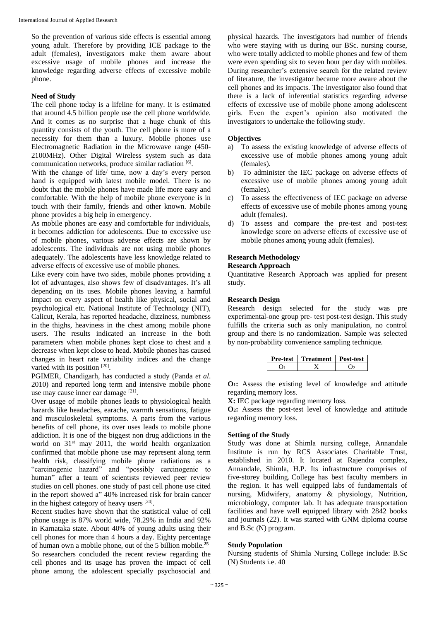So the prevention of various side effects is essential among young adult. Therefore by providing ICE package to the adult (females), investigators make them aware about excessive usage of mobile phones and increase the knowledge regarding adverse effects of excessive mobile phone.

# **Need of Study**

The cell phone today is a lifeline for many. It is estimated that around 4.5 billion people use the cell phone worldwide. And it comes as no surprise that a huge chunk of this quantity consists of the youth. The cell phone is more of a necessity for them than a luxury. Mobile phones use Electromagnetic Radiation in the Microwave range (450- 2100MHz). Other Digital Wireless system such as data communication networks, produce similar radiation [6].

With the change of life/ time, now a day's every person hand is equipped with latest mobile model. There is no doubt that the mobile phones have made life more easy and comfortable. With the help of mobile phone everyone is in touch with their family, friends and other known. Mobile phone provides a big help in emergency.

As mobile phones are easy and comfortable for individuals, it becomes addiction for adolescents. Due to excessive use of mobile phones, various adverse effects are shown by adolescents. The individuals are not using mobile phones adequately. The adolescents have less knowledge related to adverse effects of excessive use of mobile phones.

Like every coin have two sides, mobile phones providing a lot of advantages, also shows few of disadvantages. It's all depending on its uses. Mobile phones leaving a harmful impact on every aspect of health like physical, social and psychological etc. National Institute of Technology (NIT), Calicut, Kerala, has reported headache, dizziness, numbness in the thighs, heaviness in the chest among mobile phone users. The results indicated an increase in the both parameters when mobile phones kept close to chest and a decrease when kept close to head. Mobile phones has caused changes in heart rate variability indices and the change varied with its position [20].

PGIMER, Chandigarh, has conducted a study (Panda *et al*. 2010) and reported long term and intensive mobile phone use may cause inner ear damage [21].

Over usage of mobile phones leads to physiological health hazards like headaches, earache, warmth sensations, fatigue and musculoskeletal symptoms. A parts from the various benefits of cell phone, its over uses leads to mobile phone addiction. It is one of the biggest non drug addictions in the world on 31<sup>st</sup> may 2011, the world health organization confirmed that mobile phone use may represent along term health risk, classifying mobile phone radiations as a "carcinogenic hazard" and "possibly carcinogenic to human" after a team of scientists reviewed peer review studies on cell phones. one study of past cell phone use cited in the report showed a" 40% increased risk for brain cancer in the highest category of heavy users [24].

Recent studies have shown that the statistical value of cell phone usage is 87% world wide, 78.29% in India and 92% in Karnataka state. About 40% of young adults using their cell phones for more than 4 hours a day. Eighty percentage of human own a mobile phone, out of the 5 billion mobile.**<sup>25</sup>** So researchers concluded the recent review regarding the cell phones and its usage has proven the impact of cell phone among the adolescent specially psychosocial and

physical hazards. The investigators had number of friends who were staying with us during our BSc. nursing course, who were totally addicted to mobile phones and few of them were even spending six to seven hour per day with mobiles. During researcher's extensive search for the related review of literature, the investigator became more aware about the cell phones and its impacts. The investigator also found that there is a lack of inferential statistics regarding adverse effects of excessive use of mobile phone among adolescent girls. Even the expert's opinion also motivated the investigators to undertake the following study.

# **Objectives**

- a) To assess the existing knowledge of adverse effects of excessive use of mobile phones among young adult (females).
- b) To administer the IEC package on adverse effects of excessive use of mobile phones among young adult (females).
- c) To assess the effectiveness of IEC package on adverse effects of excessive use of mobile phones among young adult (females).
- d) To assess and compare the pre-test and post-test knowledge score on adverse effects of excessive use of mobile phones among young adult (females).

# **Research Methodology**

# **Research Approach**

Quantitative Research Approach was applied for present study.

# **Research Design**

Research design selected for the study was pre experimental-one group pre- test post-test design. This study fulfills the criteria such as only manipulation, no control group and there is no randomization. Sample was selected by non-probability convenience sampling technique.

| Pre-test | Treatment   Post-test |  |
|----------|-----------------------|--|
|          |                       |  |

**O1:** Assess the existing level of knowledge and attitude regarding memory loss.

**X:** IEC package regarding memory loss.

**O2:** Assess the post-test level of knowledge and attitude regarding memory loss.

# **Setting of the Study**

Study was done at Shimla nursing college, Annandale Institute is run by RCS Associates Charitable Trust, established in 2010. It located at Rajendra complex, Annandale, Shimla, H.P. Its infrastructure comprises of five-storey building. College has best faculty members in the region. It has well equipped labs of fundamentals of nursing, Midwifery, anatomy & physiology, Nutrition, microbiology, computer lab. It has adequate transportation facilities and have well equipped library with 2842 books and journals (22). It was started with GNM diploma course and B.Sc (N) program.

# **Study Population**

Nursing students of Shimla Nursing College include: B.Sc (N) Students i.e. 40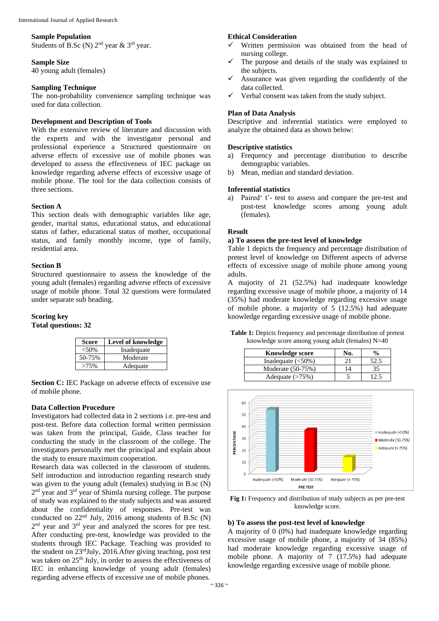#### **Sample Population**

Students of B.Sc (N)  $2<sup>nd</sup>$  year &  $3<sup>rd</sup>$  year.

#### **Sample Size**

40 young adult (females)

#### **Sampling Technique**

The non-probability convenience sampling technique was used for data collection.

# **Development and Description of Tools**

With the extensive review of literature and discussion with the experts and with the investigator personal and professional experience a Structured questionnaire on adverse effects of excessive use of mobile phones was developed to assess the effectiveness of IEC package on knowledge regarding adverse effects of excessive usage of mobile phone. The tool for the data collection consists of three sections.

#### **Section A**

This section deals with demographic variables like age, gender, marital status, educational status, and educational status of father, educational status of mother, occupational status, and family monthly income, type of family, residential area.

# **Section B**

Structured questionnaire to assess the knowledge of the young adult (females) regarding adverse effects of excessive usage of mobile phone. Total 32 questions were formulated under separate sub heading.

#### **Scoring key Total questions: 32**

| <b>Score</b> | <b>Level of knowledge</b> |  |
|--------------|---------------------------|--|
| $<50\%$      | Inadequate                |  |
| 50-75%       | Moderate                  |  |
| >75%         | Adequate                  |  |

**Section C:** IEC Package on adverse effects of excessive use of mobile phone.

# **Data Collection Procedure**

Investigators had collected data in 2 sections i.e. pre-test and post-test. Before data collection formal written permission was taken from the principal, Guide, Class teacher for conducting the study in the classroom of the college. The investigators personally met the principal and explain about the study to ensure maximum cooperation.

Research data was collected in the classroom of students. Self introduction and introduction regarding research study was given to the young adult (females) studying in B.sc (N) 2<sup>nd</sup> year and 3<sup>rd</sup> year of Shimla nursing college. The purpose of study was explained to the study subjects and was assured about the confidentiality of responses. Pre-test was conducted on  $22<sup>nd</sup>$  July,  $2016$  among students of B.Sc (N) 2<sup>nd</sup> year and 3<sup>rd</sup> year and analyzed the scores for pre test. After conducting pre-test, knowledge was provided to the students through IEC Package. Teaching was provided to the student on 23rdJuly, 2016.After giving teaching, post test was taken on 25<sup>th</sup> July, in order to assess the effectiveness of IEC in enhancing knowledge of young adult (females) regarding adverse effects of excessive use of mobile phones.

## **Ethical Consideration**

- Written permission was obtained from the head of nursing college.
- The purpose and details of the study was explained to the subjects.
- Assurance was given regarding the confidently of the data collected.
- Verbal consent was taken from the study subject.

#### **Plan of Data Analysis**

Descriptive and inferential statistics were employed to analyze the obtained data as shown below:

#### **Descriptive statistics**

- a) Frequency and percentage distribution to describe demographic variables.
- b) Mean, median and standard deviation.

# **Inferential statistics**

a) Paired' t'- test to assess and compare the pre-test and post-test knowledge scores among young adult (females).

#### **Result**

# **a) To assess the pre-test level of knowledge**

Table 1 depicts the frequency and percentage distribution of pretest level of knowledge on Different aspects of adverse effects of excessive usage of mobile phone among young adults.

A majority of 21 (52.5%) had inadequate knowledge regarding excessive usage of mobile phone, a majority of 14 (35%) had moderate knowledge regarding excessive usage of mobile phone. a majority of 5 (12.5%) had adequate knowledge regarding excessive usage of mobile phone.

**Table 1:** Depicts frequency and percentage distribution of pretest knowledge score among young adult (females) N=40

| <b>Knowledge score</b> | No. | $\frac{0}{0}$ |
|------------------------|-----|---------------|
| Inadequate $(<50\%)$   |     | 52.5          |
| Moderate (50-75%)      | 14  | 35            |
| Adequate $(>75%)$      |     |               |



**Fig 1:** Frequency and distribution of study subjects as per pre-test knowledge score.

#### **b) To assess the post-test level of knowledge**

A majority of 0 (0%) had inadequate knowledge regarding excessive usage of mobile phone, a majority of 34 (85%) had moderate knowledge regarding excessive usage of mobile phone. A majority of 7 (17.5%) had adequate knowledge regarding excessive usage of mobile phone.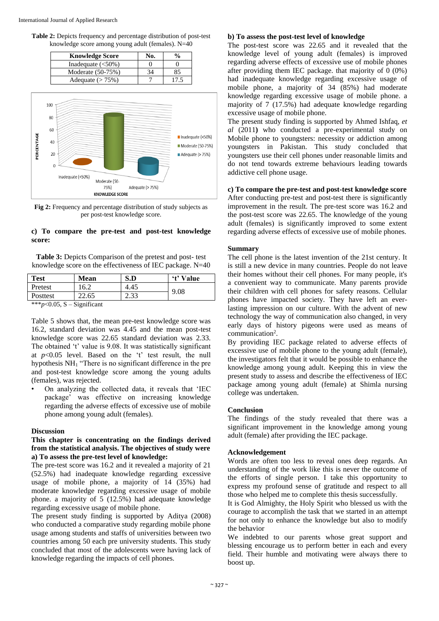**Table 2:** Depicts frequency and percentage distribution of post-test knowledge score among young adult (females). N=40

| <b>Knowledge Score</b> | No. |      |
|------------------------|-----|------|
| Inadequate $(<50\%)$   |     |      |
| Moderate (50-75%)      | 34  | 85   |
| Adequate $(> 75\%)$    |     | 17.5 |



**Fig 2:** Frequency and percentage distribution of study subjects as per post-test knowledge score.

# **c) To compare the pre-test and post-test knowledge score:**

**Table 3:** Depicts Comparison of the pretest and post- test knowledge score on the effectiveness of IEC package. N=40

| Test                                         | <b>Mean</b>              | S.D  | 't' Value |  |
|----------------------------------------------|--------------------------|------|-----------|--|
| Pretest                                      | 16.2                     | 4.45 | 9.08      |  |
| Posttest                                     | 22.65                    | 2.33 |           |  |
| and a state of a<br>$\bigcap_{n=1}^{\infty}$ | $\cdot$ $\sim$<br>$\sim$ |      |           |  |

 $***n<0.05$ , S – Significant

Table 5 shows that, the mean pre-test knowledge score was 16.2, standard deviation was 4.45 and the mean post-test knowledge score was 22.65 standard deviation was 2.33. The obtained 't' value is 9.08. It was statistically significant at *p*<0.05 level. Based on the 't' test result, the null hypothesis NH<sup>1</sup> "There is no significant difference in the pre and post-test knowledge score among the young adults (females), was rejected.

• On analyzing the collected data, it reveals that 'IEC package' was effective on increasing knowledge regarding the adverse effects of excessive use of mobile phone among young adult (females).

# **Discussion**

# **This chapter is concentrating on the findings derived from the statistical analysis. The objectives of study were a) To assess the pre-test level of knowledge:**

The pre-test score was 16.2 and it revealed a majority of 21 (52.5%) had inadequate knowledge regarding excessive usage of mobile phone, a majority of 14 (35%) had moderate knowledge regarding excessive usage of mobile phone. a majority of 5 (12.5%) had adequate knowledge regarding excessive usage of mobile phone.

The present study finding is supported by Aditya (2008) who conducted a comparative study regarding mobile phone usage among students and staffs of universities between two countries among 50 each pre university students. This study concluded that most of the adolescents were having lack of knowledge regarding the impacts of cell phones.

#### **b) To assess the post-test level of knowledge**

The post-test score was 22.65 and it revealed that the knowledge level of young adult (females) is improved regarding adverse effects of excessive use of mobile phones after providing them IEC package. that majority of  $\overline{0}$  (0%) had inadequate knowledge regarding excessive usage of mobile phone, a majority of 34 (85%) had moderate knowledge regarding excessive usage of mobile phone. a majority of 7 (17.5%) had adequate knowledge regarding excessive usage of mobile phone.

The present study finding is supported by Ahmed Ishfaq, *et al* (2011**)** who conducted a pre-experimental study on Mobile phone to youngsters: necessity or addiction among youngsters in Pakistan. This study concluded that youngsters use their cell phones under reasonable limits and do not tend towards extreme behaviours leading towards addictive cell phone usage.

**c) To compare the pre-test and post-test knowledge score** After conducting pre-test and post-test there is significantly improvement in the result. The pre-test score was 16.2 and the post-test score was 22.65. The knowledge of the young adult (females) is significantly improved to some extent regarding adverse effects of excessive use of mobile phones.

#### **Summary**

The cell phone is the latest invention of the 21st century. It is still a new device in many countries. People do not leave their homes without their cell phones. For many people, it's a convenient way to communicate. Many parents provide their children with cell phones for safety reasons. Cellular phones have impacted society. They have left an everlasting impression on our culture. With the advent of new technology the way of communication also changed, in very early days of history pigeons were used as means of communication<sup>2</sup>.

By providing IEC package related to adverse effects of excessive use of mobile phone to the young adult (female), the investigators felt that it would be possible to enhance the knowledge among young adult. Keeping this in view the present study to assess and describe the effectiveness of IEC package among young adult (female) at Shimla nursing college was undertaken.

#### **Conclusion**

The findings of the study revealed that there was a significant improvement in the knowledge among young adult (female) after providing the IEC package.

#### **Acknowledgement**

Words are often too less to reveal ones deep regards. An understanding of the work like this is never the outcome of the efforts of single person. I take this opportunity to express my profound sense of gratitude and respect to all those who helped me to complete this thesis successfully.

It is God Almighty, the Holy Spirit who blessed us with the courage to accomplish the task that we started in an attempt for not only to enhance the knowledge but also to modify the behavior

We indebted to our parents whose great support and blessing encourage us to perform better in each and every field. Their humble and motivating were always there to boost up.